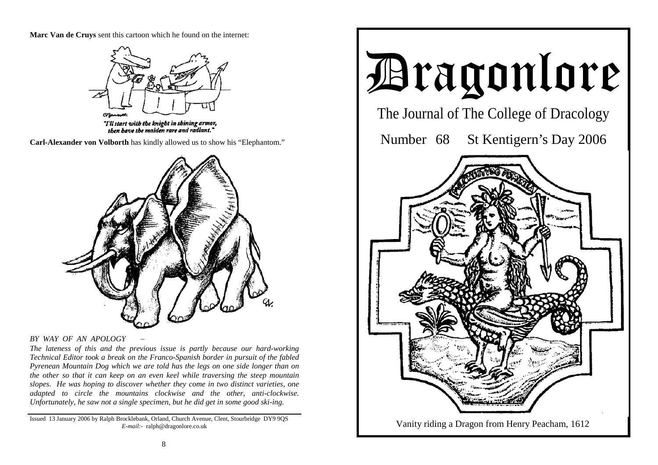**Marc Van de Cruys** sent this cartoon which he found on the internet:



"I'll start with the knight in shining armor, then bave the maiden rare and radiant."

**Carl-Alexander von Volborth** has kindly allowed us to show his "Elephantom."



#### *BY WAY OF AN APOLOGY* –

*The lateness of this and the previous issue is partly because our hard-working Technical Editor took a break on the Franco-Spanish border in pursuit of the fabled Pyrenean Mountain Dog which we are told has the legs on one side longer than on the other so that it can keep on an even keel while traversing the steep mountain slopes. He was hoping to discover whether they come in two distinct varieties, one adapted to circle the mountains clockwise and the other, anti-clockwise. Unfortunately, he saw not a single specimen, but he did get in some good ski-ing.* 

Issued 13 January 2006 by Ralph Brocklebank, Orland, Church Avenue, Clent, Stourbridge DY9 9QS *E-mail:-* ralph@dragonlore.co.uk

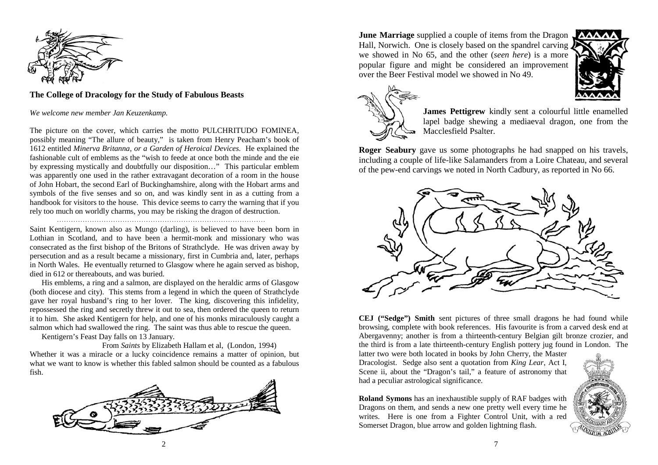

#### **The College of Dracology for the Study of Fabulous Beasts**

*We welcome new member Jan Keuzenkamp.* 

The picture on the cover, which carries the motto PULCHRITUDO FOMINEA, possibly meaning "The allure of beauty," is taken from Henry Peacham's book of 1612 entitled *Minerva Britanna, or a Garden of Heroical Devices.* He explained the fashionable cult of emblems as the "wish to feede at once both the minde and the eie by expressing mystically and doubtfully our disposition…" This particular emblem was apparently one used in the rather extravagant decoration of a room in the house of John Hobart, the second Earl of Buckinghamshire, along with the Hobart arms and symbols of the five senses and so on, and was kindly sent in as a cutting from a handbook for visitors to the house. This device seems to carry the warning that if you rely too much on worldly charms, you may be risking the dragon of destruction.

Saint Kentigern, known also as Mungo (darling), is believed to have been born in Lothian in Scotland, and to have been a hermit-monk and missionary who was consecrated as the first bishop of the Britons of Strathclyde. He was driven away by persecution and as a result became a missionary, first in Cumbria and, later, perhaps in North Wales. He eventually returned to Glasgow where he again served as bishop, died in 612 or thereabouts, and was buried.

 His emblems, a ring and a salmon, are displayed on the heraldic arms of Glasgow (both diocese and city). This stems from a legend in which the queen of Strathclyde gave her royal husband's ring to her lover. The king, discovering this infidelity, repossessed the ring and secretly threw it out to sea, then ordered the queen to return it to him. She asked Kentigern for help, and one of his monks miraculously caught a salmon which had swallowed the ring. The saint was thus able to rescue the queen.

Kentigern's Feast Day falls on 13 January.

 From *Saints* by Elizabeth Hallam et al, (London, 1994) Whether it was a miracle or a lucky coincidence remains a matter of opinion, but what we want to know is whether this fabled salmon should be counted as a fabulous fish.



**June Marriage** supplied a couple of items from the Dragon Hall, Norwich. One is closely based on the spandrel carving we showed in No 65, and the other (*seen here*) is a more popular figure and might be considered an improvement over the Beer Festival model we showed in No 49.





**James Pettigrew** kindly sent a colourful little enamelled lapel badge shewing a mediaeval dragon, one from the Macclesfield Psalter.

**Roger Seabury** gave us some photographs he had snapped on his travels, including a couple of life-like Salamanders from a Loire Chateau, and several of the pew-end carvings we noted in North Cadbury, as reported in No 66.



**CEJ ("Sedge") Smith** sent pictures of three small dragons he had found while browsing, complete with book references. His favourite is from a carved desk end at Abergavenny; another is from a thirteenth-century Belgian gilt bronze crozier, and the third is from a late thirteenth-century English pottery jug found in London. The

latter two were both located in books by John Cherry, the Master Dracologist. Sedge also sent a quotation from *King Lear*, Act I, Scene ii, about the "Dragon's tail," a feature of astronomy that had a peculiar astrological significance.

**Roland Symons** has an inexhaustible supply of RAF badges with Dragons on them, and sends a new one pretty well every time he writes. Here is one from a Fighter Control Unit, with a red Somerset Dragon, blue arrow and golden lightning flash.

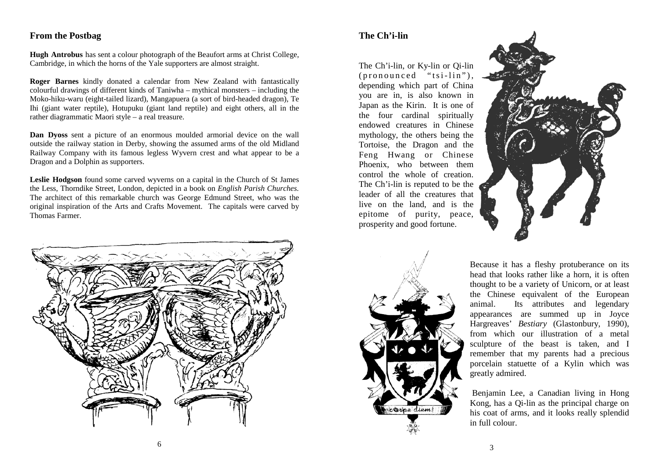## **From the Postbag**

**Hugh Antrobus** has sent a colour photograph of the Beaufort arms at Christ College, Cambridge, in which the horns of the Yale supporters are almost straight.

**Roger Barnes** kindly donated a calendar from New Zealand with fantastically colourful drawings of different kinds of Taniwha – mythical monsters – including the Moko-hiku-waru (eight-tailed lizard), Mangapuera (a sort of bird-headed dragon), Te Ihi (giant water reptile), Hotupuku (giant land reptile) and eight others, all in the rather diagrammatic Maori style – a real treasure.

**Dan Dyoss** sent a picture of an enormous moulded armorial device on the wall outside the railway station in Derby, showing the assumed arms of the old Midland Railway Company with its famous legless Wyvern crest and what appear to be a Dragon and a Dolphin as supporters.

**Leslie Hodgson** found some carved wyverns on a capital in the Church of St James the Less, Thorndike Street, London, depicted in a book on *English Parish Churches.*  The architect of this remarkable church was George Edmund Street, who was the original inspiration of the Arts and Crafts Movement. The capitals were carved by Thomas Farmer.



## **The Ch'i-lin**

The Ch'i-lin, or Ky-lin or Qi-lin  $(pronounced "tsi-lin").$ depending which part of China you are in, is also known in Japan as the Kirin. It is one of the four cardinal spiritually endowed creatures in Chinese mythology, the others being the Tortoise, the Dragon and the Feng Hwang or Chinese Phoenix, who between them control the whole of creation. The Ch'i-lin is reputed to be the leader of all the creatures that live on the land, and is the epitome of purity, peace, prosperity and good fortune.





Because it has a fleshy protuberance on its head that looks rather like a horn, it is often thought to be a variety of Unicorn, or at least the Chinese equivalent of the European animal. Its attributes and legendary appearances are summed up in Joyce Hargreaves' *Bestiary* (Glastonbury, 1990), from which our illustration of a metal sculpture of the beast is taken, and I remember that my parents had a precious porcelain statuette of a Kylin which was greatly admired.

 Benjamin Lee, a Canadian living in Hong Kong, has a Qi-lin as the principal charge on his coat of arms, and it looks really splendid in full colour.